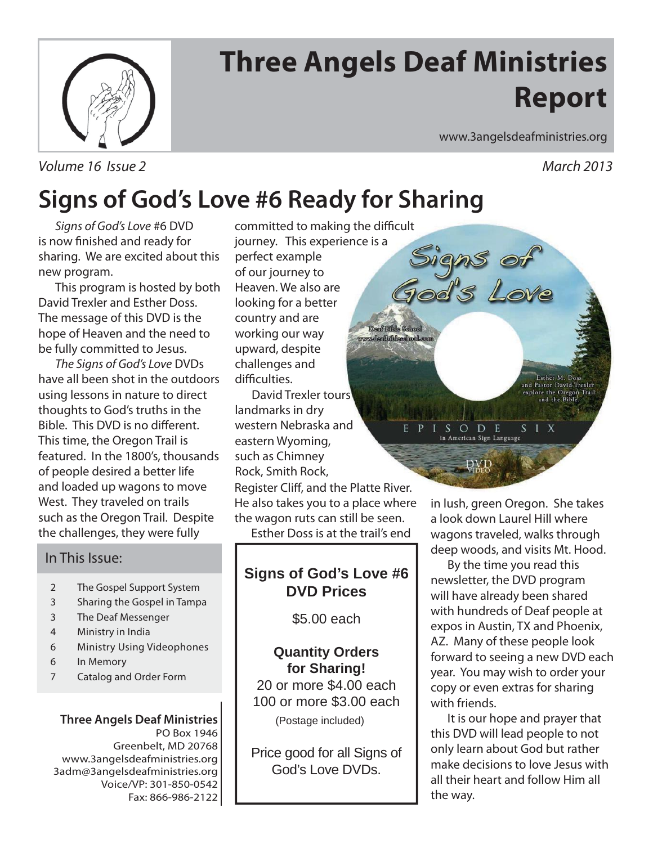

# **Three Angels Deaf Ministries Report**

Deaf Bible School **mdentbilderdhool.com** 

Volume 16 Issue 2 March 2013

www.3angelsdeafministries.org

Signs of<br>iod's Love

ISODE

in American Sign Language

DVD

## **Signs of God's Love #6 Ready for Sharing**

Signs of God's Love #6 DVD is now finished and ready for sharing. We are excited about this new program.

 This program is hosted by both David Trexler and Esther Doss. The message of this DVD is the hope of Heaven and the need to be fully committed to Jesus.

The Signs of God's Love DVDs have all been shot in the outdoors using lessons in nature to direct thoughts to God's truths in the Bible. This DVD is no different. This time, the Oregon Trail is featured. In the 1800's, thousands of people desired a better life and loaded up wagons to move West. They traveled on trails such as the Oregon Trail. Despite the challenges, they were fully

### In This Issue:

- 2 The Gospel Support System
- 3 Sharing the Gospel in Tampa
- 3 The Deaf Messenger
- 4 Ministry in India
- 6 Ministry Using Videophones
- 6 In Memory
- 7 Catalog and Order Form

#### **Three Angels Deaf Ministries** PO Box 1946 Greenbelt, MD 20768 www.3angelsdeafministries.org 3adm@3angelsdeafministries.org Voice/VP: 301-850-0542 Fax: 866-986-2122

committed to making the difficult journey. This experience is a perfect example of our journey to Heaven. We also are looking for a better country and are working our way upward, despite challenges and difficulties.

 David Trexler tours landmarks in dry western Nebraska and  $\mathbf{p}$ eastern Wyoming, such as Chimney Rock, Smith Rock, Register Cliff, and the Platte River. He also takes you to a place where the wagon ruts can still be seen.

Esther Doss is at the trail's end

### **Signs of God's Love #6 DVD Prices**

\$5.00 each

#### **Quantity Orders for Sharing!**

20 or more \$4.00 each 100 or more \$3.00 each

(Postage included)

Price good for all Signs of God's Love DVDs.

Esther M. Doss and Pastor David Trexler<br>explore the Oregon Trail<br>and the Bible.

 $S<sub>1</sub> X$ 

in lush, green Oregon. She takes a look down Laurel Hill where wagons traveled, walks through deep woods, and visits Mt. Hood.

 By the time you read this newsletter, the DVD program will have already been shared with hundreds of Deaf people at expos in Austin, TX and Phoenix, AZ. Many of these people look forward to seeing a new DVD each year. You may wish to order your copy or even extras for sharing with friends.

 It is our hope and prayer that this DVD will lead people to not only learn about God but rather make decisions to love Jesus with all their heart and follow Him all the way.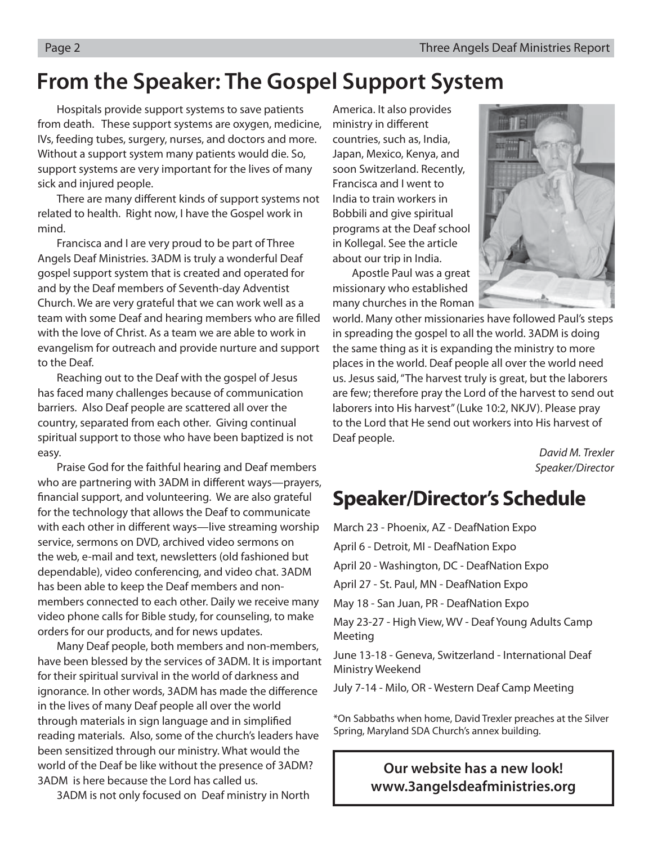### **From the Speaker: The Gospel Support System**

 Hospitals provide support systems to save patients from death. These support systems are oxygen, medicine, IVs, feeding tubes, surgery, nurses, and doctors and more. Without a support system many patients would die. So, support systems are very important for the lives of many sick and injured people.

There are many different kinds of support systems not related to health. Right now, I have the Gospel work in mind.

 Francisca and I are very proud to be part of Three Angels Deaf Ministries. 3ADM is truly a wonderful Deaf gospel support system that is created and operated for and by the Deaf members of Seventh-day Adventist Church. We are very grateful that we can work well as a team with some Deaf and hearing members who are filled with the love of Christ. As a team we are able to work in evangelism for outreach and provide nurture and support to the Deaf.

 Reaching out to the Deaf with the gospel of Jesus has faced many challenges because of communication barriers. Also Deaf people are scattered all over the country, separated from each other. Giving continual spiritual support to those who have been baptized is not easy.

 Praise God for the faithful hearing and Deaf members who are partnering with 3ADM in different ways—prayers, financial support, and volunteering. We are also grateful for the technology that allows the Deaf to communicate with each other in different ways—live streaming worship service, sermons on DVD, archived video sermons on the web, e-mail and text, newsletters (old fashioned but dependable), video conferencing, and video chat. 3ADM has been able to keep the Deaf members and nonmembers connected to each other. Daily we receive many video phone calls for Bible study, for counseling, to make orders for our products, and for news updates.

 Many Deaf people, both members and non-members, have been blessed by the services of 3ADM. It is important for their spiritual survival in the world of darkness and ignorance. In other words, 3ADM has made the difference in the lives of many Deaf people all over the world through materials in sign language and in simplified reading materials. Also, some of the church's leaders have been sensitized through our ministry. What would the world of the Deaf be like without the presence of 3ADM? 3ADM is here because the Lord has called us.

3ADM is not only focused on Deaf ministry in North

America. It also provides ministry in different countries, such as, India, Japan, Mexico, Kenya, and soon Switzerland. Recently, Francisca and I went to India to train workers in Bobbili and give spiritual programs at the Deaf school in Kollegal. See the article about our trip in India.

 Apostle Paul was a great missionary who established many churches in the Roman



world. Many other missionaries have followed Paul's steps in spreading the gospel to all the world. 3ADM is doing the same thing as it is expanding the ministry to more places in the world. Deaf people all over the world need us. Jesus said, "The harvest truly is great, but the laborers are few; therefore pray the Lord of the harvest to send out laborers into His harvest" (Luke 10:2, NKJV). Please pray to the Lord that He send out workers into His harvest of Deaf people.

> David M. Trexler Speaker/Director

### **Speaker/Director's Schedule**

March 23 - Phoenix, AZ - DeafNation Expo April 6 - Detroit, MI - DeafNation Expo April 20 - Washington, DC - DeafNation Expo April 27 - St. Paul, MN - DeafNation Expo May 18 - San Juan, PR - DeafNation Expo May 23-27 - High View, WV - Deaf Young Adults Camp Meeting June 13-18 - Geneva, Switzerland - International Deaf Ministry Weekend

July 7-14 - Milo, OR - Western Deaf Camp Meeting

\*On Sabbaths when home, David Trexler preaches at the Silver Spring, Maryland SDA Church's annex building.

### **Our website has a new look! www.3angelsdeafministries.org**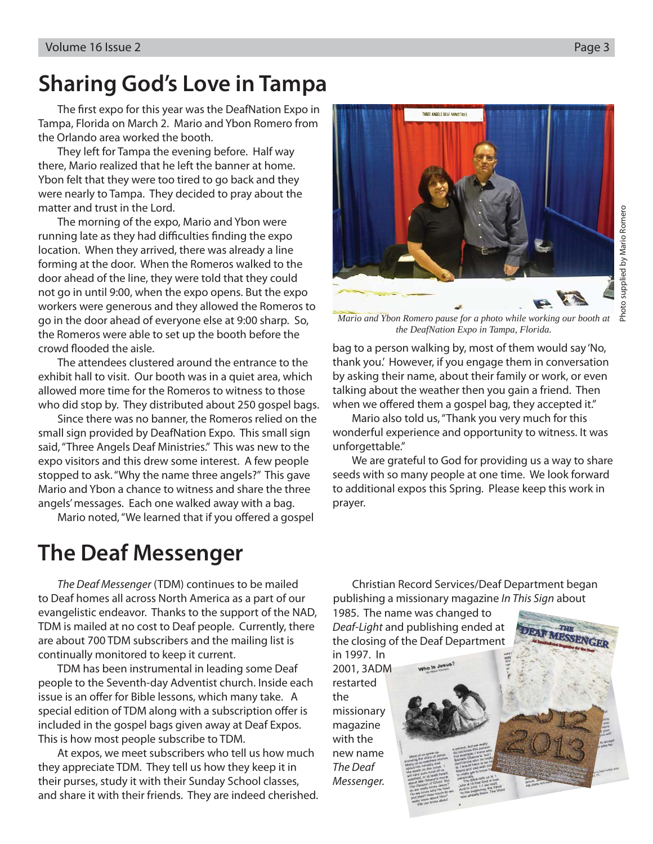## **Sharing God's Love in Tampa**

The first expo for this year was the DeafNation Expo in Tampa, Florida on March 2. Mario and Ybon Romero from the Orlando area worked the booth.

 They left for Tampa the evening before. Half way there, Mario realized that he left the banner at home. Ybon felt that they were too tired to go back and they were nearly to Tampa. They decided to pray about the matter and trust in the Lord.

 The morning of the expo, Mario and Ybon were running late as they had difficulties finding the expo location. When they arrived, there was already a line forming at the door. When the Romeros walked to the door ahead of the line, they were told that they could not go in until 9:00, when the expo opens. But the expo workers were generous and they allowed the Romeros to go in the door ahead of everyone else at 9:00 sharp. So, the Romeros were able to set up the booth before the crowd flooded the aisle.

 The attendees clustered around the entrance to the exhibit hall to visit. Our booth was in a quiet area, which allowed more time for the Romeros to witness to those who did stop by. They distributed about 250 gospel bags.

 Since there was no banner, the Romeros relied on the small sign provided by DeafNation Expo. This small sign said, "Three Angels Deaf Ministries." This was new to the expo visitors and this drew some interest. A few people stopped to ask. "Why the name three angels?" This gave Mario and Ybon a chance to witness and share the three angels' messages. Each one walked away with a bag.

Mario noted, "We learned that if you offered a gospel

## **The Deaf Messenger**

The Deaf Messenger (TDM) continues to be mailed to Deaf homes all across North America as a part of our evangelistic endeavor. Thanks to the support of the NAD, TDM is mailed at no cost to Deaf people. Currently, there are about 700 TDM subscribers and the mailing list is continually monitored to keep it current.

TDM has been instrumental in leading some Deaf people to the Seventh-day Adventist church. Inside each issue is an offer for Bible lessons, which many take. A special edition of TDM along with a subscription offer is included in the gospel bags given away at Deaf Expos. This is how most people subscribe to TDM.

At expos, we meet subscribers who tell us how much they appreciate TDM. They tell us how they keep it in their purses, study it with their Sunday School classes, and share it with their friends. They are indeed cherished.

THREE ANGELS BEAF MINISTRIES

*Mario and Ybon Romero pause for a photo while working our booth at the DeafNation Expo in Tampa, Florida.* 

bag to a person walking by, most of them would say 'No, thank you.' However, if you engage them in conversation by asking their name, about their family or work, or even talking about the weather then you gain a friend. Then when we offered them a gospel bag, they accepted it."

 Mario also told us, "Thank you very much for this wonderful experience and opportunity to witness. It was unforgettable."

 We are grateful to God for providing us a way to share seeds with so many people at one time. We look forward to additional expos this Spring. Please keep this work in prayer.

Christian Record Services/Deaf Department began publishing a missionary magazine In This Sign about

> THT **MESSENGER**

1985. The name was changed to Deaf-Light and publishing ended at the closing of the Deaf Department in 1997. In

2001, 3ADM restarted the missionary magazine with the new name The Deaf Messenger.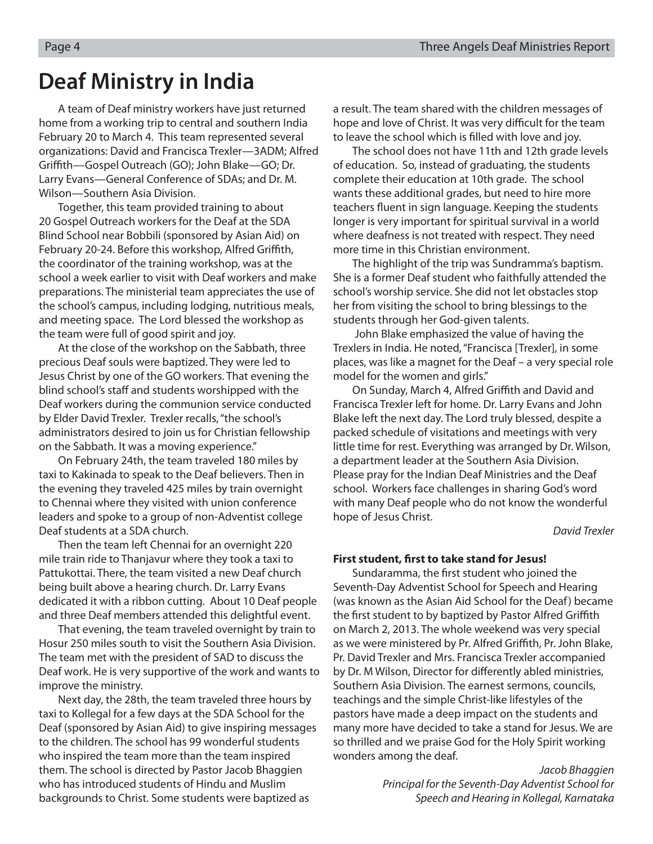### **Deaf Ministry in India**

A team of Deaf ministry workers have just returned home from a working trip to central and southern India February 20 to March 4. This team represented several organizations: David and Francisca Trexler—3ADM; Alfred Griffith—Gospel Outreach (GO); John Blake—GO; Dr. Larry Evans—General Conference of SDAs; and Dr. M. Wilson—Southern Asia Division.

Together, this team provided training to about 20 Gospel Outreach workers for the Deaf at the SDA Blind School near Bobbili (sponsored by Asian Aid) on February 20-24. Before this workshop, Alfred Griffith, the coordinator of the training workshop, was at the school a week earlier to visit with Deaf workers and make preparations. The ministerial team appreciates the use of the school's campus, including lodging, nutritious meals, and meeting space. The Lord blessed the workshop as the team were full of good spirit and joy.

At the close of the workshop on the Sabbath, three precious Deaf souls were baptized. They were led to Jesus Christ by one of the GO workers. That evening the blind school's staff and students worshipped with the Deaf workers during the communion service conducted by Elder David Trexler. Trexler recalls, "the school's administrators desired to join us for Christian fellowship on the Sabbath. It was a moving experience."

On February 24th, the team traveled 180 miles by taxi to Kakinada to speak to the Deaf believers. Then in the evening they traveled 425 miles by train overnight to Chennai where they visited with union conference leaders and spoke to a group of non-Adventist college Deaf students at a SDA church.

Then the team left Chennai for an overnight 220 mile train ride to Thanjavur where they took a taxi to Pattukottai. There, the team visited a new Deaf church being built above a hearing church. Dr. Larry Evans dedicated it with a ribbon cutting. About 10 Deaf people and three Deaf members attended this delightful event.

That evening, the team traveled overnight by train to Hosur 250 miles south to visit the Southern Asia Division. The team met with the president of SAD to discuss the Deaf work. He is very supportive of the work and wants to improve the ministry.

Next day, the 28th, the team traveled three hours by taxi to Kollegal for a few days at the SDA School for the Deaf (sponsored by Asian Aid) to give inspiring messages to the children. The school has 99 wonderful students who inspired the team more than the team inspired them. The school is directed by Pastor Jacob Bhaggien who has introduced students of Hindu and Muslim backgrounds to Christ. Some students were baptized as

a result. The team shared with the children messages of hope and love of Christ. It was very difficult for the team to leave the school which is filled with love and joy.

The school does not have 11th and 12th grade levels of education. So, instead of graduating, the students complete their education at 10th grade. The school wants these additional grades, but need to hire more teachers fluent in sign language. Keeping the students longer is very important for spiritual survival in a world where deafness is not treated with respect. They need more time in this Christian environment.

The highlight of the trip was Sundramma's baptism. She is a former Deaf student who faithfully attended the school's worship service. She did not let obstacles stop her from visiting the school to bring blessings to the students through her God-given talents.

 John Blake emphasized the value of having the Trexlers in India. He noted, "Francisca [Trexler], in some places, was like a magnet for the Deaf – a very special role model for the women and girls."

On Sunday, March 4, Alfred Griffith and David and Francisca Trexler left for home. Dr. Larry Evans and John Blake left the next day. The Lord truly blessed, despite a packed schedule of visitations and meetings with very little time for rest. Everything was arranged by Dr. Wilson, a department leader at the Southern Asia Division. Please pray for the Indian Deaf Ministries and the Deaf school. Workers face challenges in sharing God's word with many Deaf people who do not know the wonderful hope of Jesus Christ.

David Trexler

#### **First student, first to take stand for Jesus!**

Sundaramma, the first student who joined the Seventh-Day Adventist School for Speech and Hearing (was known as the Asian Aid School for the Deaf) became the first student to by baptized by Pastor Alfred Griffith on March 2, 2013. The whole weekend was very special as we were ministered by Pr. Alfred Griffith, Pr. John Blake, Pr. David Trexler and Mrs. Francisca Trexler accompanied by Dr. M Wilson, Director for differently abled ministries, Southern Asia Division. The earnest sermons, councils, teachings and the simple Christ-like lifestyles of the pastors have made a deep impact on the students and many more have decided to take a stand for Jesus. We are so thrilled and we praise God for the Holy Spirit working wonders among the deaf.

> Jacob Bhaggien Principal for the Seventh-Day Adventist School for Speech and Hearing in Kollegal, Karnataka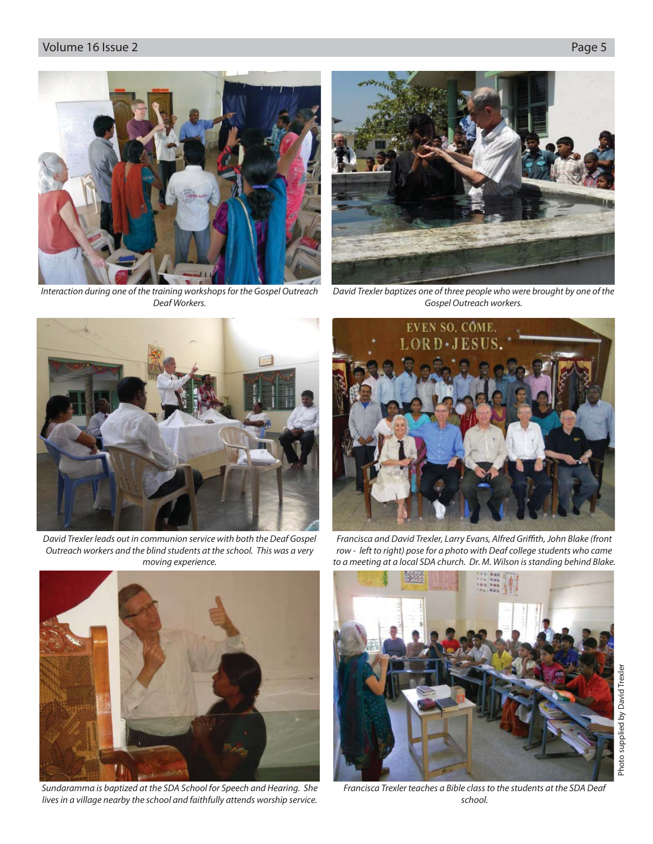#### Volume 16 Issue 2 Page 5





Interaction during one of the training workshops for the Gospel Outreach Deaf Workers.



David Trexler baptizes one of three people who were brought by one of the Gospel Outreach workers.



David Trexler leads out in communion service with both the Deaf Gospel Outreach workers and the blind students at the school. This was a very moving experience.



Francisca and David Trexler, Larry Evans, Alfred Griffith, John Blake (front row - left to right) pose for a photo with Deaf college students who came to a meeting at a local SDA church. Dr. M. Wilson is standing behind Blake.



Sundaramma is baptized at the SDA School for Speech and Hearing. She lives in a village nearby the school and faithfully attends worship service.



Francisca Trexler teaches a Bible class to the students at the SDA Deaf school.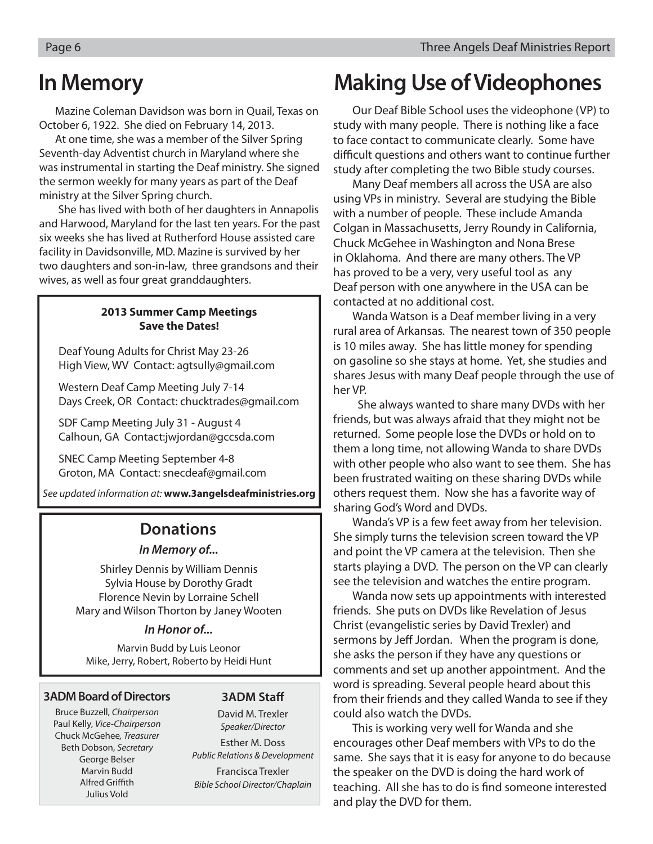## **In Memory**

Mazine Coleman Davidson was born in Quail, Texas on October 6, 1922. She died on February 14, 2013.

At one time, she was a member of the Silver Spring Seventh-day Adventist church in Maryland where she was instrumental in starting the Deaf ministry. She signed the sermon weekly for many years as part of the Deaf ministry at the Silver Spring church.

She has lived with both of her daughters in Annapolis and Harwood, Maryland for the last ten years. For the past six weeks she has lived at Rutherford House assisted care facility in Davidsonville, MD. Mazine is survived by her two daughters and son-in-law, three grandsons and their wives, as well as four great granddaughters.

#### **2013 Summer Camp Meetings Save the Dates!**

 Deaf Young Adults for Christ May 23-26 High View, WV Contact: agtsully@gmail.com

 Western Deaf Camp Meeting July 7-14 Days Creek, OR Contact: chucktrades@gmail.com

 SDF Camp Meeting July 31 - August 4 Calhoun, GA Contact:jwjordan@gccsda.com

 SNEC Camp Meeting September 4-8 Groton, MA Contact: snecdeaf@gmail.com

See updated information at: **www.3angelsdeafministries.org**

### **Donations**

#### *In Memory of...*

Shirley Dennis by William Dennis Sylvia House by Dorothy Gradt Florence Nevin by Lorraine Schell Mary and Wilson Thorton by Janey Wooten

#### *In Honor of...*

Marvin Budd by Luis Leonor Mike, Jerry, Robert, Roberto by Heidi Hunt

#### **3ADM Board of Directors**

Bruce Buzzell, Chairperson Paul Kelly, Vice-Chairperson Chuck McGehee, Treasurer Beth Dobson, Secretary George Belser Marvin Budd **Alfred Griffith** Julius Vold

#### **3ADM Staff**

David M. Trexler Speaker/Director Esther M. Doss Public Relations & Development Francisca Trexler Bible School Director/Chaplain

## **Making Use of Videophones**

 Our Deaf Bible School uses the videophone (VP) to study with many people. There is nothing like a face to face contact to communicate clearly. Some have difficult questions and others want to continue further study after completing the two Bible study courses.

 Many Deaf members all across the USA are also using VPs in ministry. Several are studying the Bible with a number of people. These include Amanda Colgan in Massachusetts, Jerry Roundy in California, Chuck McGehee in Washington and Nona Brese in Oklahoma. And there are many others. The VP has proved to be a very, very useful tool as any Deaf person with one anywhere in the USA can be contacted at no additional cost.

 Wanda Watson is a Deaf member living in a very rural area of Arkansas. The nearest town of 350 people is 10 miles away. She has little money for spending on gasoline so she stays at home. Yet, she studies and shares Jesus with many Deaf people through the use of her VP.

 She always wanted to share many DVDs with her friends, but was always afraid that they might not be returned. Some people lose the DVDs or hold on to them a long time, not allowing Wanda to share DVDs with other people who also want to see them. She has been frustrated waiting on these sharing DVDs while others request them. Now she has a favorite way of sharing God's Word and DVDs.

 Wanda's VP is a few feet away from her television. She simply turns the television screen toward the VP and point the VP camera at the television. Then she starts playing a DVD. The person on the VP can clearly see the television and watches the entire program.

 Wanda now sets up appointments with interested friends. She puts on DVDs like Revelation of Jesus Christ (evangelistic series by David Trexler) and sermons by Jeff Jordan. When the program is done, she asks the person if they have any questions or comments and set up another appointment. And the word is spreading. Several people heard about this from their friends and they called Wanda to see if they could also watch the DVDs.

 This is working very well for Wanda and she encourages other Deaf members with VPs to do the same. She says that it is easy for anyone to do because the speaker on the DVD is doing the hard work of teaching. All she has to do is find someone interested and play the DVD for them.

 $\overline{\phantom{a}}$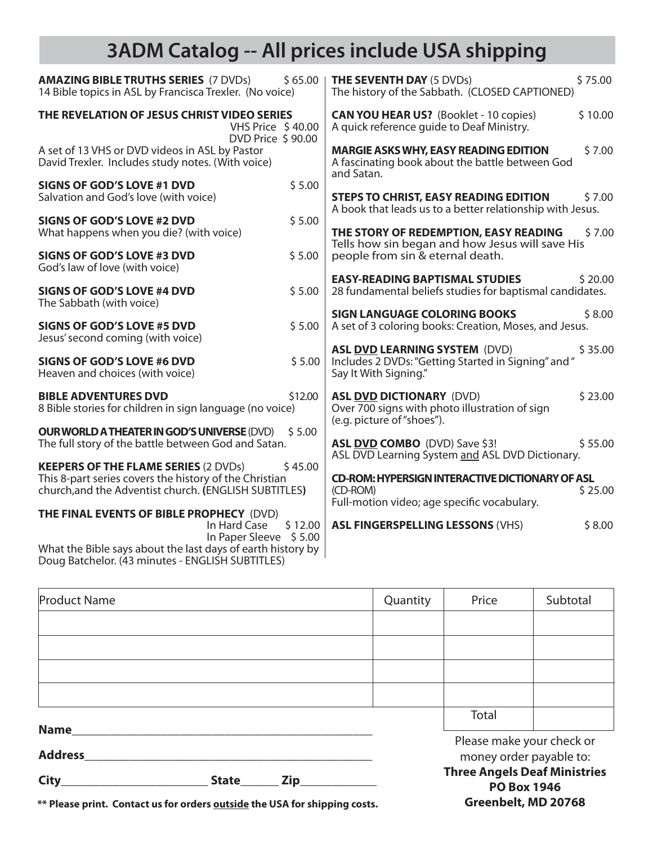### **3ADM Catalog -- All prices include USA shipping**

| <b>AMAZING BIBLE TRUTHS SERIES (7 DVDs)</b>                                                                                               | <b>THE SEVENTH DAY (5 DVDs)</b>                                                                                            |  |  |
|-------------------------------------------------------------------------------------------------------------------------------------------|----------------------------------------------------------------------------------------------------------------------------|--|--|
| \$65.00                                                                                                                                   | \$75.00                                                                                                                    |  |  |
| 14 Bible topics in ASL by Francisca Trexler. (No voice)                                                                                   | The history of the Sabbath. (CLOSED CAPTIONED)                                                                             |  |  |
| THE REVELATION OF JESUS CHRIST VIDEO SERIES                                                                                               | <b>CAN YOU HEAR US?</b> (Booklet - 10 copies)                                                                              |  |  |
| VHS Price \$40.00                                                                                                                         | \$10.00                                                                                                                    |  |  |
| DVD Price \$90.00                                                                                                                         | A quick reference quide to Deaf Ministry.                                                                                  |  |  |
| A set of 13 VHS or DVD videos in ASL by Pastor<br>David Trexler. Includes study notes. (With voice)                                       | <b>MARGIE ASKS WHY, EASY READING EDITION</b><br>\$7.00<br>A fascinating book about the battle between God<br>and Satan.    |  |  |
| \$5.00                                                                                                                                    | <b>STEPS TO CHRIST, EASY READING EDITION</b>                                                                               |  |  |
| <b>SIGNS OF GOD'S LOVE #1 DVD</b>                                                                                                         | \$7.00                                                                                                                     |  |  |
| Salvation and God's love (with voice)                                                                                                     | A book that leads us to a better relationship with Jesus.                                                                  |  |  |
| \$5.00                                                                                                                                    | THE STORY OF REDEMPTION, EASY READING                                                                                      |  |  |
| <b>SIGNS OF GOD'S LOVE #2 DVD</b>                                                                                                         | \$7.00                                                                                                                     |  |  |
| What happens when you die? (with voice)                                                                                                   | Tells how sin began and how Jesus will save His                                                                            |  |  |
| <b>SIGNS OF GOD'S LOVE #3 DVD</b>                                                                                                         | people from sin & eternal death.                                                                                           |  |  |
| \$5.00                                                                                                                                    | <b>EASY-READING BAPTISMAL STUDIES</b>                                                                                      |  |  |
| God's law of love (with voice)                                                                                                            | \$20.00                                                                                                                    |  |  |
| <b>SIGNS OF GOD'S LOVE #4 DVD</b>                                                                                                         | 28 fundamental beliefs studies for baptismal candidates.                                                                   |  |  |
| \$5.00                                                                                                                                    | <b>SIGN LANGUAGE COLORING BOOKS</b>                                                                                        |  |  |
| The Sabbath (with voice)                                                                                                                  | \$8.00                                                                                                                     |  |  |
| <b>SIGNS OF GOD'S LOVE #5 DVD</b>                                                                                                         | A set of 3 coloring books: Creation, Moses, and Jesus.                                                                     |  |  |
| \$5.00                                                                                                                                    | <b>ASL DVD LEARNING SYSTEM (DVD)</b>                                                                                       |  |  |
| Jesus' second coming (with voice)                                                                                                         | \$35.00                                                                                                                    |  |  |
| \$5.00<br><b>SIGNS OF GOD'S LOVE #6 DVD</b><br>Heaven and choices (with voice)                                                            | Includes 2 DVDs: "Getting Started in Signing" and "<br>Say It With Signing."                                               |  |  |
| <b>BIBLE ADVENTURES DVD</b><br>\$12.00<br>8 Bible stories for children in sign language (no voice)                                        | <b>ASL DVD DICTIONARY (DVD)</b><br>\$23.00<br>Over 700 signs with photo illustration of sign<br>(e.g. picture of "shoes"). |  |  |
| <b>OUR WORLD A THEATER IN GOD'S UNIVERSE (DVD)</b>                                                                                        | \$55.00                                                                                                                    |  |  |
| \$5.00                                                                                                                                    | ASL DVD COMBO (DVD) Save \$3!                                                                                              |  |  |
| The full story of the battle between God and Satan.                                                                                       | ASL DVD Learning System and ASL DVD Dictionary.                                                                            |  |  |
| <b>KEEPERS OF THE FLAME SERIES (2 DVDs)</b>                                                                                               | <b>CD-ROM: HYPERSIGN INTERACTIVE DICTIONARY OF ASL</b>                                                                     |  |  |
| \$45.00                                                                                                                                   | \$25.00                                                                                                                    |  |  |
| This 8-part series covers the history of the Christian                                                                                    | (CD-ROM)                                                                                                                   |  |  |
| church, and the Adventist church. (ENGLISH SUBTITLES)                                                                                     | Full-motion video; age specific vocabulary.                                                                                |  |  |
| THE FINAL EVENTS OF BIBLE PROPHECY (DVD)<br>\$12.00<br>In Hard Case                                                                       | \$8.00<br><b>ASL FINGERSPELLING LESSONS (VHS)</b>                                                                          |  |  |
| In Paper Sleeve \$5.00<br>What the Bible says about the last days of earth history by<br>Doug Batchelor. (43 minutes - ENGLISH SUBTITLES) |                                                                                                                            |  |  |

| <b>Product Name</b>           |              |  | Quantity                                                  | Price                                                | Subtotal |  |
|-------------------------------|--------------|--|-----------------------------------------------------------|------------------------------------------------------|----------|--|
|                               |              |  |                                                           |                                                      |          |  |
|                               |              |  |                                                           |                                                      |          |  |
|                               |              |  |                                                           |                                                      |          |  |
|                               |              |  |                                                           |                                                      |          |  |
|                               |              |  |                                                           | Total                                                |          |  |
| <b>Name</b><br><b>Address</b> |              |  |                                                           | Please make your check or<br>money order payable to: |          |  |
| City                          | <b>State</b> |  | <b>Three Angels Deaf Ministries</b><br><b>PO Box 1946</b> |                                                      |          |  |

**Greenbelt, MD 20768**

**\*\* Please print. Contact us for orders outside the USA for shipping costs.**